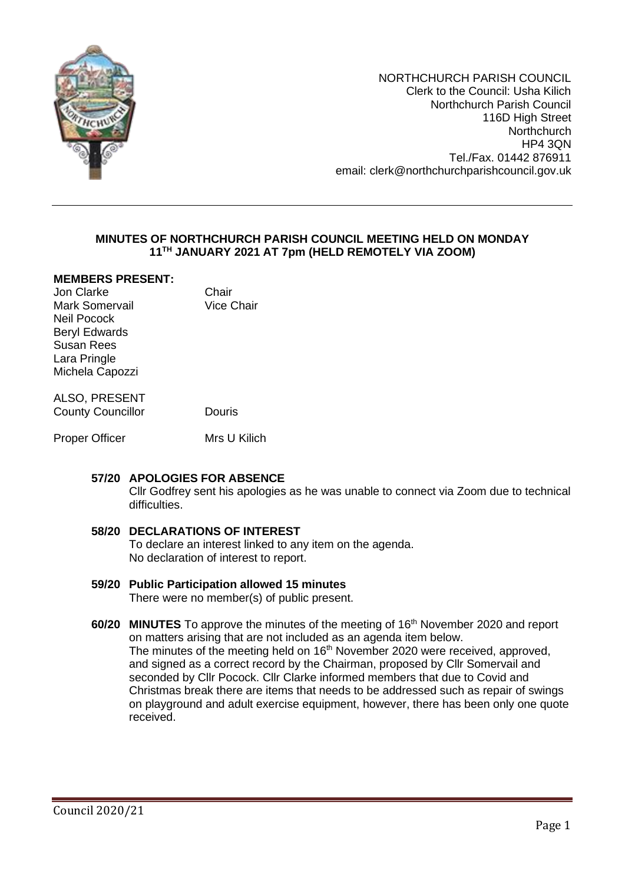

NORTHCHURCH PARISH COUNCIL Clerk to the Council: Usha Kilich Northchurch Parish Council 116D High Street **Northchurch** HP4 3QN Tel./Fax. 01442 876911 email: clerk@northchurchparishcouncil.gov.uk

## **MINUTES OF NORTHCHURCH PARISH COUNCIL MEETING HELD ON MONDAY 11 TH JANUARY 2021 AT 7pm (HELD REMOTELY VIA ZOOM)**

## **MEMBERS PRESENT:**

Jon Clarke **Chair**<br>
Mark Somervail **Chair**<br>
Vice Chair Mark Somervail Neil Pocock Beryl Edwards Susan Rees Lara Pringle Michela Capozzi

## ALSO, PRESENT County Councillor **Douris**

Proper Officer Mrs U Kilich

## **57/20 APOLOGIES FOR ABSENCE**

Cllr Godfrey sent his apologies as he was unable to connect via Zoom due to technical difficulties.

# **58/20 DECLARATIONS OF INTEREST**

To declare an interest linked to any item on the agenda. No declaration of interest to report.

## **59/20 Public Participation allowed 15 minutes**

There were no member(s) of public present.

#### **60/20 MINUTES** To approve the minutes of the meeting of 16<sup>th</sup> November 2020 and report on matters arising that are not included as an agenda item below. The minutes of the meeting held on  $16<sup>th</sup>$  November 2020 were received, approved, and signed as a correct record by the Chairman, proposed by Cllr Somervail and seconded by Cllr Pocock. Cllr Clarke informed members that due to Covid and Christmas break there are items that needs to be addressed such as repair of swings on playground and adult exercise equipment, however, there has been only one quote received.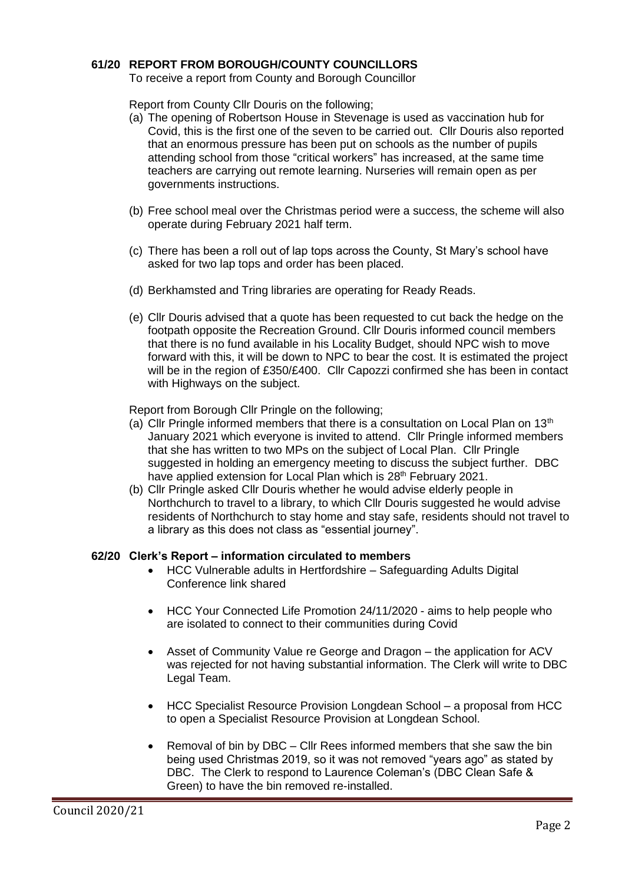## **61/20 REPORT FROM BOROUGH/COUNTY COUNCILLORS**

To receive a report from County and Borough Councillor

Report from County Cllr Douris on the following;

- (a) The opening of Robertson House in Stevenage is used as vaccination hub for Covid, this is the first one of the seven to be carried out. Cllr Douris also reported that an enormous pressure has been put on schools as the number of pupils attending school from those "critical workers" has increased, at the same time teachers are carrying out remote learning. Nurseries will remain open as per governments instructions.
- (b) Free school meal over the Christmas period were a success, the scheme will also operate during February 2021 half term.
- (c) There has been a roll out of lap tops across the County, St Mary's school have asked for two lap tops and order has been placed.
- (d) Berkhamsted and Tring libraries are operating for Ready Reads.
- (e) Cllr Douris advised that a quote has been requested to cut back the hedge on the footpath opposite the Recreation Ground. Cllr Douris informed council members that there is no fund available in his Locality Budget, should NPC wish to move forward with this, it will be down to NPC to bear the cost. It is estimated the project will be in the region of £350/£400. Cllr Capozzi confirmed she has been in contact with Highways on the subject.

Report from Borough Cllr Pringle on the following;

- (a) Cllr Pringle informed members that there is a consultation on Local Plan on  $13<sup>th</sup>$ January 2021 which everyone is invited to attend. Cllr Pringle informed members that she has written to two MPs on the subject of Local Plan. Cllr Pringle suggested in holding an emergency meeting to discuss the subject further. DBC have applied extension for Local Plan which is 28<sup>th</sup> February 2021.
- (b) Cllr Pringle asked Cllr Douris whether he would advise elderly people in Northchurch to travel to a library, to which Cllr Douris suggested he would advise residents of Northchurch to stay home and stay safe, residents should not travel to a library as this does not class as "essential journey".

#### **62/20 Clerk's Report – information circulated to members**

- HCC Vulnerable adults in Hertfordshire Safeguarding Adults Digital Conference link shared
- HCC Your Connected Life Promotion 24/11/2020 aims to help people who are isolated to connect to their communities during Covid
- Asset of Community Value re George and Dragon the application for ACV was rejected for not having substantial information. The Clerk will write to DBC Legal Team.
- HCC Specialist Resource Provision Longdean School a proposal from HCC to open a Specialist Resource Provision at Longdean School.
- Removal of bin by DBC Cllr Rees informed members that she saw the bin being used Christmas 2019, so it was not removed "years ago" as stated by DBC. The Clerk to respond to Laurence Coleman's (DBC Clean Safe & Green) to have the bin removed re-installed.